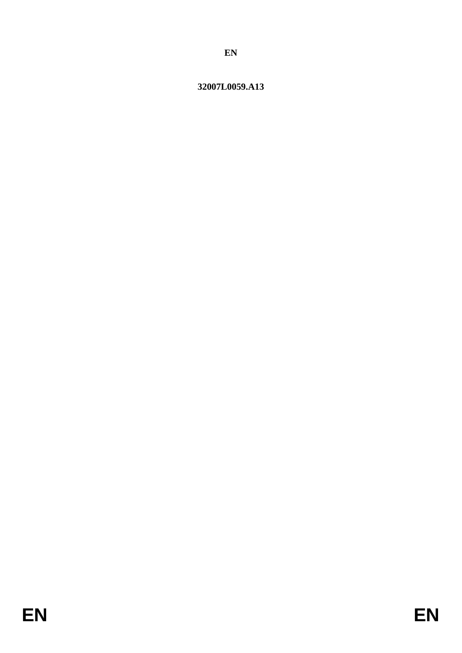# 32007L0059.A13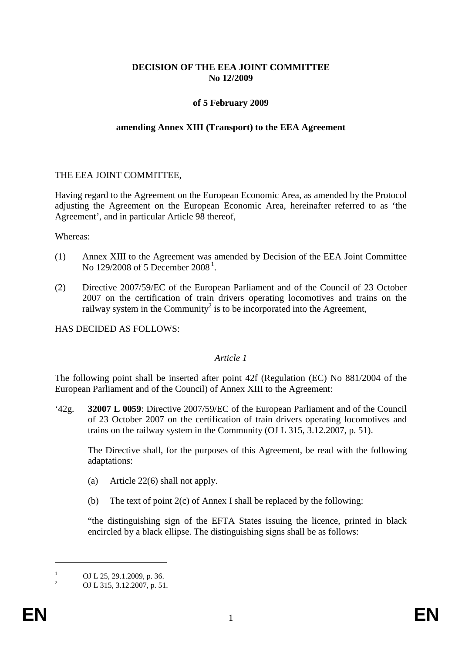#### **DECISION OF THE EEA JOINT COMMITTEE No 12/2009**

#### **of 5 February 2009**

#### **amending Annex XIII (Transport) to the EEA Agreement**

#### THE EEA JOINT COMMITTEE,

Having regard to the Agreement on the European Economic Area, as amended by the Protocol adjusting the Agreement on the European Economic Area, hereinafter referred to as 'the Agreement', and in particular Article 98 thereof,

Whereas:

- (1) Annex XIII to the Agreement was amended by Decision of the EEA Joint Committee No [1](#page-1-0)29/2008 of 5 December 2008<sup>1</sup>.
- (2) Directive 2007/59/EC of the European Parliament and of the Council of 23 October 2007 on the certification of train drivers operating locomotives and trains on the railway system in the Community<sup>2</sup> is to be incorporated into the Agreement,

HAS DECIDED AS FOLLOWS:

#### *Article 1*

The following point shall be inserted after point 42f (Regulation (EC) No 881/2004 of the European Parliament and of the Council) of Annex XIII to the Agreement:

'42g. **32007 L 0059**: Directive 2007/59/EC of the European Parliament and of the Council of 23 October 2007 on the certification of train drivers operating locomotives and trains on the railway system in the Community (OJ L 315, 3.12.2007, p. 51).

The Directive shall, for the purposes of this Agreement, be read with the following adaptations:

- (a) Article 22(6) shall not apply.
- (b) The text of point  $2(c)$  of Annex I shall be replaced by the following:

"the distinguishing sign of the EFTA States issuing the licence, printed in black encircled by a black ellipse. The distinguishing signs shall be as follows:

 $\overline{a}$ 

<span id="page-1-0"></span> $\frac{1}{2}$  OJ L 25, 29.1.2009, p. 36.<br>OJ L 315, 3.12.2007, p. 51.